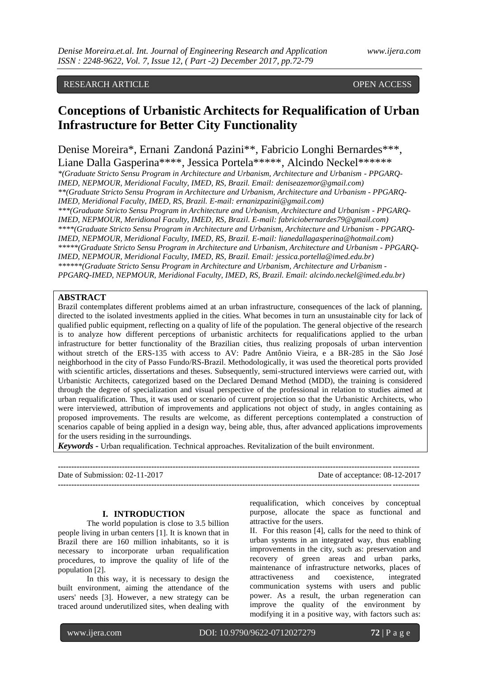# **Conceptions of Urbanistic Architects for Requalification of Urban Infrastructure for Better City Functionality**

Denise Moreira\*, Ernani Zandoná Pazini\*\*, Fabricio Longhi Bernardes\*\*\*, Liane Dalla Gasperina\*\*\*\*, Jessica Portela\*\*\*\*\*, Alcindo Neckel\*\*\*\*\*\*

*\*(Graduate Stricto Sensu Program in Architecture and Urbanism, Architecture and Urbanism - PPGARQ-IMED, NEPMOUR, Meridional Faculty, IMED, RS, Brazil. Email: deniseazemor@gmail.com) \*\*(Graduate Stricto Sensu Program in Architecture and Urbanism, Architecture and Urbanism - PPGARQ-IMED, Meridional Faculty, IMED, RS, Brazil. E-mail: ernanizpazini@gmail.com)* 

*\*\*\*(Graduate Stricto Sensu Program in Architecture and Urbanism, Architecture and Urbanism - PPGARQ-IMED, NEPMOUR, Meridional Faculty, IMED, RS, Brazil. E-mail: fabriciobernardes79@gmail.com) \*\*\*\*(Graduate Stricto Sensu Program in Architecture and Urbanism, Architecture and Urbanism - PPGARQ-IMED, NEPMOUR, Meridional Faculty, IMED, RS, Brazil. E-mail: lianedallagasperina@hotmail.com) \*\*\*\*\*(Graduate Stricto Sensu Program in Architecture and Urbanism, Architecture and Urbanism - PPGARQ-IMED, NEPMOUR, Meridional Faculty, IMED, RS, Brazil. Email: jessica.portella@imed.edu.br) \*\*\*\*\*\*(Graduate Stricto Sensu Program in Architecture and Urbanism, Architecture and Urbanism - PPGARQ-IMED, NEPMOUR, Meridional Faculty, IMED, RS, Brazil. Email: alcindo.neckel@imed.edu.br)*

# **ABSTRACT**

Brazil contemplates different problems aimed at an urban infrastructure, consequences of the lack of planning, directed to the isolated investments applied in the cities. What becomes in turn an unsustainable city for lack of qualified public equipment, reflecting on a quality of life of the population. The general objective of the research is to analyze how different perceptions of urbanistic architects for requalifications applied to the urban infrastructure for better functionality of the Brazilian cities, thus realizing proposals of urban intervention without stretch of the ERS-135 with access to AV: Padre Antônio Vieira, e a BR-285 in the São José neighborhood in the city of Passo Fundo/RS-Brazil. Methodologically, it was used the theoretical ports provided with scientific articles, dissertations and theses. Subsequently, semi-structured interviews were carried out, with Urbanistic Architects, categorized based on the Declared Demand Method (MDD), the training is considered through the degree of specialization and visual perspective of the professional in relation to studies aimed at urban requalification. Thus, it was used or scenario of current projection so that the Urbanistic Architects, who were interviewed, attribution of improvements and applications not object of study, in angles containing as proposed improvements. The results are welcome, as different perceptions contemplated a construction of scenarios capable of being applied in a design way, being able, thus, after advanced applications improvements for the users residing in the surroundings.

*Keywords* **-** Urban requalification. Technical approaches. Revitalization of the built environment.

| Date of Submission: $02-11-2017$ | Date of acceptance: 08-12-2017 |
|----------------------------------|--------------------------------|
|                                  |                                |

## **I. INTRODUCTION**

The world population is close to 3.5 billion people living in urban centers [1]. It is known that in Brazil there are 160 million inhabitants, so it is necessary to incorporate urban requalification procedures, to improve the quality of life of the population [2].

In this way, it is necessary to design the built environment, aiming the attendance of the users' needs [3]. However, a new strategy can be traced around underutilized sites, when dealing with

requalification, which conceives by conceptual purpose, allocate the space as functional and attractive for the users.

II. For this reason [4], calls for the need to think of urban systems in an integrated way, thus enabling improvements in the city, such as: preservation and recovery of green areas and urban parks, maintenance of infrastructure networks, places of attractiveness and coexistence, integrated communication systems with users and public power. As a result, the urban regeneration can improve the quality of the environment by modifying it in a positive way, with factors such as:

www.ijera.com DOI: 10.9790/9622-0712027279 **72** | P a g e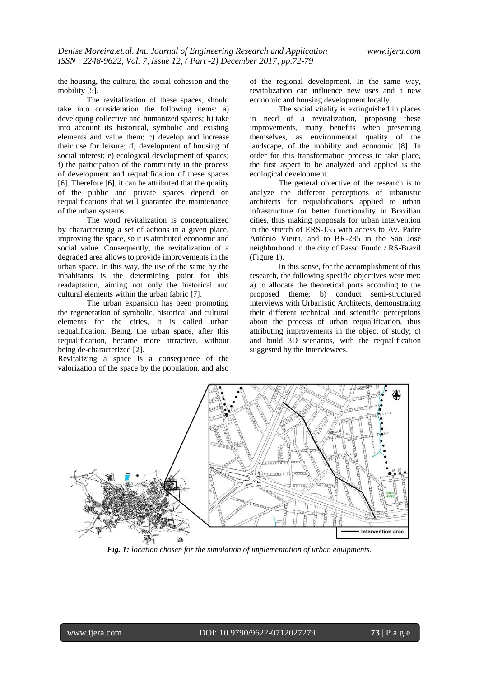the housing, the culture, the social cohesion and the mobility [5].

The revitalization of these spaces, should take into consideration the following items: a) developing collective and humanized spaces; b) take into account its historical, symbolic and existing elements and value them; c) develop and increase their use for leisure; d) development of housing of social interest; e) ecological development of spaces; f) the participation of the community in the process of development and requalification of these spaces [6]. Therefore [6], it can be attributed that the quality of the public and private spaces depend on requalifications that will guarantee the maintenance of the urban systems.

The word revitalization is conceptualized by characterizing a set of actions in a given place, improving the space, so it is attributed economic and social value. Consequently, the revitalization of a degraded area allows to provide improvements in the urban space. In this way, the use of the same by the inhabitants is the determining point for this readaptation, aiming not only the historical and cultural elements within the urban fabric [7].

The urban expansion has been promoting the regeneration of symbolic, historical and cultural elements for the cities, it is called urban requalification. Being, the urban space, after this requalification, became more attractive, without being de-characterized [2].

Revitalizing a space is a consequence of the valorization of the space by the population, and also

of the regional development. In the same way, revitalization can influence new uses and a new economic and housing development locally.

The social vitality is extinguished in places in need of a revitalization, proposing these improvements, many benefits when presenting themselves, as environmental quality of the landscape, of the mobility and economic [8]. In order for this transformation process to take place, the first aspect to be analyzed and applied is the ecological development.

The general objective of the research is to analyze the different perceptions of urbanistic architects for requalifications applied to urban infrastructure for better functionality in Brazilian cities, thus making proposals for urban intervention in the stretch of ERS-135 with access to Av. Padre Antônio Vieira, and to BR-285 in the São José neighborhood in the city of Passo Fundo / RS-Brazil (Figure 1).

In this sense, for the accomplishment of this research, the following specific objectives were met: a) to allocate the theoretical ports according to the proposed theme; b) conduct semi-structured interviews with Urbanistic Architects, demonstrating their different technical and scientific perceptions about the process of urban requalification, thus attributing improvements in the object of study; c) and build 3D scenarios, with the requalification suggested by the interviewees.



*Fig. 1: location chosen for the simulation of implementation of urban equipments.*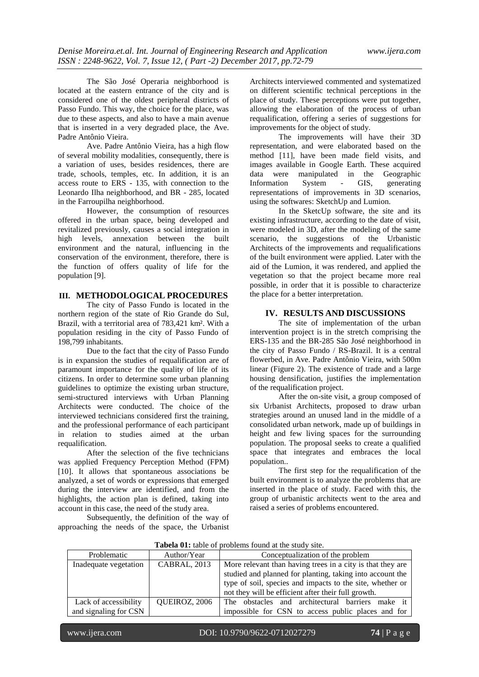The São José Operaria neighborhood is located at the eastern entrance of the city and is considered one of the oldest peripheral districts of Passo Fundo. This way, the choice for the place, was due to these aspects, and also to have a main avenue that is inserted in a very degraded place, the Ave. Padre Antônio Vieira.

Ave. Padre Antônio Vieira, has a high flow of several mobility modalities, consequently, there is a variation of uses, besides residences, there are trade, schools, temples, etc. In addition, it is an access route to ERS - 135, with connection to the Leonardo Ilha neighborhood, and BR - 285, located in the Farroupilha neighborhood.

However, the consumption of resources offered in the urban space, being developed and revitalized previously, causes a social integration in high levels, annexation between the built environment and the natural, influencing in the conservation of the environment, therefore, there is the function of offers quality of life for the population [9].

### **III. METHODOLOGICAL PROCEDURES**

The city of Passo Fundo is located in the northern region of the state of Rio Grande do Sul, Brazil, with a territorial area of 783,421 km². With a population residing in the city of Passo Fundo of 198,799 inhabitants.

Due to the fact that the city of Passo Fundo is in expansion the studies of requalification are of paramount importance for the quality of life of its citizens. In order to determine some urban planning guidelines to optimize the existing urban structure, semi-structured interviews with Urban Planning Architects were conducted. The choice of the interviewed technicians considered first the training, and the professional performance of each participant in relation to studies aimed at the urban requalification.

After the selection of the five technicians was applied Frequency Perception Method (FPM) [10]. It allows that spontaneous associations be analyzed, a set of words or expressions that emerged during the interview are identified, and from the highlights, the action plan is defined, taking into account in this case, the need of the study area.

Subsequently, the definition of the way of approaching the needs of the space, the Urbanist

Architects interviewed commented and systematized on different scientific technical perceptions in the place of study. These perceptions were put together, allowing the elaboration of the process of urban requalification, offering a series of suggestions for improvements for the object of study.

The improvements will have their 3D representation, and were elaborated based on the method [11], have been made field visits, and images available in Google Earth. These acquired<br>data were manipulated in the Geographic manipulated in the Geographic<br>System - GIS, generating Information System - GIS, generating representations of improvements in 3D scenarios, using the softwares: SketchUp and Lumion.

In the SketcUp software, the site and its existing infrastructure, according to the date of visit, were modeled in 3D, after the modeling of the same scenario, the suggestions of the Urbanistic Architects of the improvements and requalifications of the built environment were applied. Later with the aid of the Lumion, it was rendered, and applied the vegetation so that the project became more real possible, in order that it is possible to characterize the place for a better interpretation.

#### **IV. RESULTS AND DISCUSSIONS**

The site of implementation of the urban intervention project is in the stretch comprising the ERS-135 and the BR-285 São José neighborhood in the city of Passo Fundo / RS-Brazil. It is a central flowerbed, in Ave. Padre Antônio Vieira, with 500m linear (Figure 2). The existence of trade and a large housing densification, justifies the implementation of the requalification project.

After the on-site visit, a group composed of six Urbanist Architects, proposed to draw urban strategies around an unused land in the middle of a consolidated urban network, made up of buildings in height and few living spaces for the surrounding population. The proposal seeks to create a qualified space that integrates and embraces the local population..

The first step for the requalification of the built environment is to analyze the problems that are inserted in the place of study. Faced with this, the group of urbanistic architects went to the area and raised a series of problems encountered.

| <b>Tabela 01:</b> table of problems found at the study site. |                     |                                                            |  |
|--------------------------------------------------------------|---------------------|------------------------------------------------------------|--|
| Problematic                                                  | Author/Year         | Conceptualization of the problem                           |  |
| Inadequate vegetation                                        | <b>CABRAL, 2013</b> | More relevant than having trees in a city is that they are |  |
|                                                              |                     | studied and planned for planting, taking into account the  |  |
|                                                              |                     | type of soil, species and impacts to the site, whether or  |  |
|                                                              |                     | not they will be efficient after their full growth.        |  |
| Lack of accessibility                                        | QUEIROZ, 2006       | The obstacles and architectural barriers make it           |  |
| and signaling for CSN                                        |                     | impossible for CSN to access public places and for         |  |
|                                                              |                     |                                                            |  |

**Tabela 01:** table of problems found at the study site.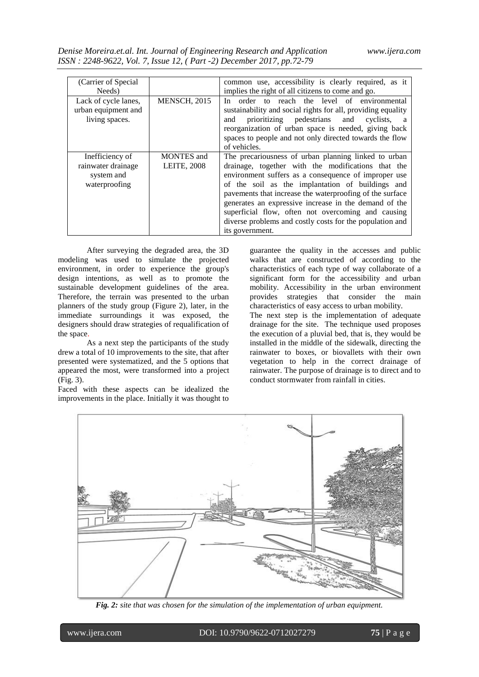| (Carrier of Special) |                     | common use, accessibility is clearly required, as it         |
|----------------------|---------------------|--------------------------------------------------------------|
|                      |                     |                                                              |
| Needs)               |                     | implies the right of all citizens to come and go.            |
| Lack of cycle lanes, | <b>MENSCH, 2015</b> | In order to reach the level of environmental                 |
| urban equipment and  |                     | sustainability and social rights for all, providing equality |
| living spaces.       |                     | prioritizing pedestrians and cyclists,<br>and<br>a           |
|                      |                     | reorganization of urban space is needed, giving back         |
|                      |                     | spaces to people and not only directed towards the flow      |
|                      |                     | of vehicles.                                                 |
| Inefficiency of      | <b>MONTES</b> and   | The precariousness of urban planning linked to urban         |
| rainwater drainage   | <b>LEITE, 2008</b>  | drainage, together with the modifications that the           |
| system and           |                     | environment suffers as a consequence of improper use         |
| waterproofing        |                     | of the soil as the implantation of buildings and             |
|                      |                     | pavements that increase the waterproofing of the surface     |
|                      |                     | generates an expressive increase in the demand of the        |
|                      |                     | superficial flow, often not overcoming and causing           |
|                      |                     | diverse problems and costly costs for the population and     |
|                      |                     | its government.                                              |

After surveying the degraded area, the 3D modeling was used to simulate the projected environment, in order to experience the group's design intentions, as well as to promote the sustainable development guidelines of the area. Therefore, the terrain was presented to the urban planners of the study group (Figure 2), later, in the immediate surroundings it was exposed, the designers should draw strategies of requalification of the space.

As a next step the participants of the study drew a total of 10 improvements to the site, that after presented were systematized, and the 5 options that appeared the most, were transformed into a project (Fig. 3).

Faced with these aspects can be idealized the improvements in the place. Initially it was thought to

guarantee the quality in the accesses and public walks that are constructed of according to the characteristics of each type of way collaborate of a significant form for the accessibility and urban mobility. Accessibility in the urban environment provides strategies that consider the main characteristics of easy access to urban mobility. The next step is the implementation of adequate drainage for the site. The technique used proposes the execution of a pluvial bed, that is, they would be installed in the middle of the sidewalk, directing the rainwater to boxes, or biovallets with their own vegetation to help in the correct drainage of rainwater. The purpose of drainage is to direct and to conduct stormwater from rainfall in cities.



*Fig. 2: site that was chosen for the simulation of the implementation of urban equipment.*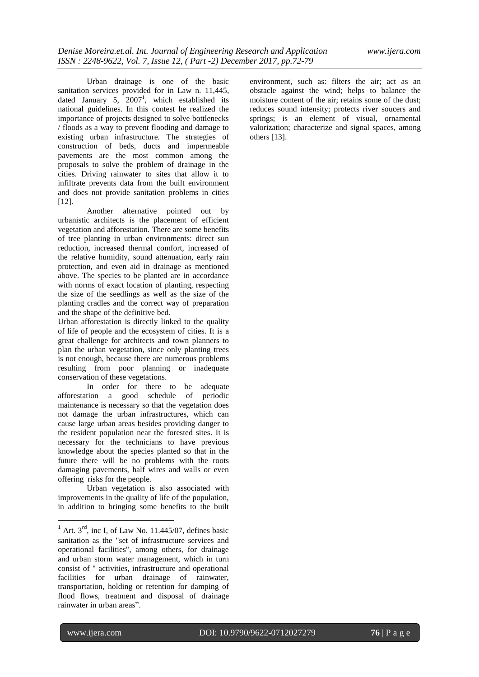Urban drainage is one of the basic sanitation services provided for in Law n. 11,445, dated January 5,  $2007<sup>1</sup>$ , which established its national guidelines. In this contest he realized the importance of projects designed to solve bottlenecks / floods as a way to prevent flooding and damage to existing urban infrastructure. The strategies of construction of beds, ducts and impermeable pavements are the most common among the proposals to solve the problem of drainage in the cities. Driving rainwater to sites that allow it to infiltrate prevents data from the built environment and does not provide sanitation problems in cities [12].

Another alternative pointed out by urbanistic architects is the placement of efficient vegetation and afforestation. There are some benefits of tree planting in urban environments: direct sun reduction, increased thermal comfort, increased of the relative humidity, sound attenuation, early rain protection, and even aid in drainage as mentioned above. The species to be planted are in accordance with norms of exact location of planting, respecting the size of the seedlings as well as the size of the planting cradles and the correct way of preparation and the shape of the definitive bed.

Urban afforestation is directly linked to the quality of life of people and the ecosystem of cities. It is a great challenge for architects and town planners to plan the urban vegetation, since only planting trees is not enough, because there are numerous problems resulting from poor planning or inadequate conservation of these vegetations.

In order for there to be adequate afforestation a good schedule of periodic maintenance is necessary so that the vegetation does not damage the urban infrastructures, which can cause large urban areas besides providing danger to the resident population near the forested sites. It is necessary for the technicians to have previous knowledge about the species planted so that in the future there will be no problems with the roots damaging pavements, half wires and walls or even offering risks for the people.

Urban vegetation is also associated with improvements in the quality of life of the population, in addition to bringing some benefits to the built environment, such as: filters the air; act as an obstacle against the wind; helps to balance the moisture content of the air; retains some of the dust; reduces sound intensity; protects river soucers and springs; is an element of visual, ornamental valorization; characterize and signal spaces, among others [13].

-

 $<sup>1</sup>$  Art. 3<sup>rd</sup>, inc I, of Law No. 11.445/07, defines basic</sup> sanitation as the "set of infrastructure services and operational facilities", among others, for drainage and urban storm water management, which in turn consist of " activities, infrastructure and operational facilities for urban drainage of rainwater, transportation, holding or retention for damping of flood flows, treatment and disposal of drainage rainwater in urban areas".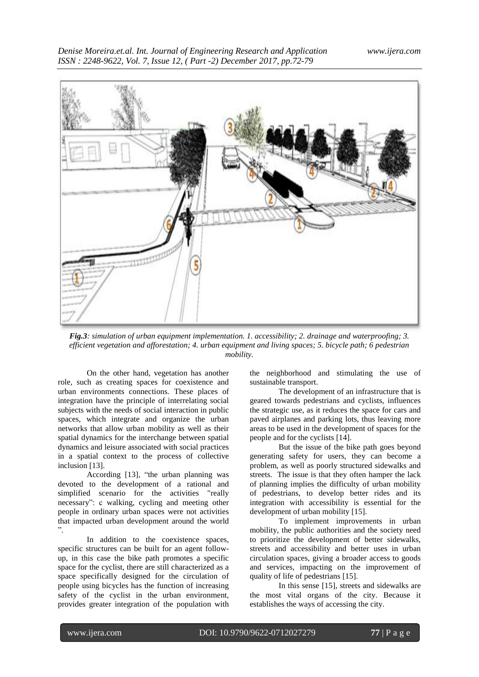

*Fig.3: simulation of urban equipment implementation. 1. accessibility; 2. drainage and waterproofing; 3. efficient vegetation and afforestation; 4. urban equipment and living spaces; 5. bicycle path; 6 pedestrian mobility.*

On the other hand, vegetation has another role, such as creating spaces for coexistence and urban environments connections. These places of integration have the principle of interrelating social subjects with the needs of social interaction in public spaces, which integrate and organize the urban networks that allow urban mobility as well as their spatial dynamics for the interchange between spatial dynamics and leisure associated with social practices in a spatial context to the process of collective inclusion [13].

According [13], "the urban planning was devoted to the development of a rational and simplified scenario for the activities "really necessary": c walking, cycling and meeting other people in ordinary urban spaces were not activities that impacted urban development around the world ".

In addition to the coexistence spaces, specific structures can be built for an agent followup, in this case the bike path promotes a specific space for the cyclist, there are still characterized as a space specifically designed for the circulation of people using bicycles has the function of increasing safety of the cyclist in the urban environment, provides greater integration of the population with

the neighborhood and stimulating the use of sustainable transport.

The development of an infrastructure that is geared towards pedestrians and cyclists, influences the strategic use, as it reduces the space for cars and paved airplanes and parking lots, thus leaving more areas to be used in the development of spaces for the people and for the cyclists [14].

But the issue of the bike path goes beyond generating safety for users, they can become a problem, as well as poorly structured sidewalks and streets. The issue is that they often hamper the lack of planning implies the difficulty of urban mobility of pedestrians, to develop better rides and its integration with accessibility is essential for the development of urban mobility [15].

To implement improvements in urban mobility, the public authorities and the society need to prioritize the development of better sidewalks, streets and accessibility and better uses in urban circulation spaces, giving a broader access to goods and services, impacting on the improvement of quality of life of pedestrians [15].

In this sense [15], streets and sidewalks are the most vital organs of the city. Because it establishes the ways of accessing the city.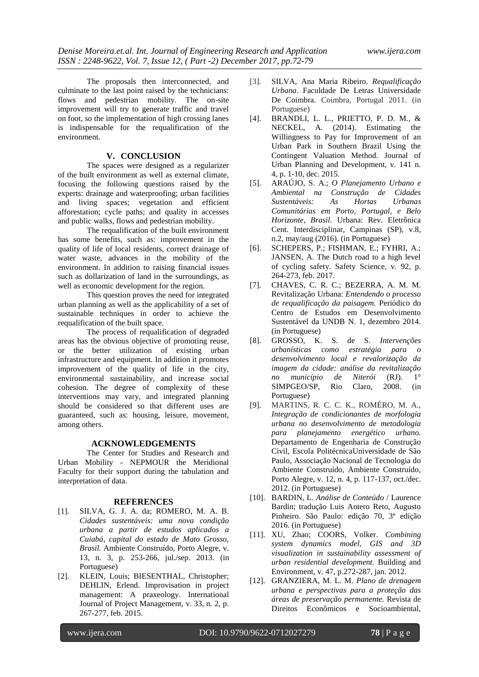The proposals then interconnected, and culminate to the last point raised by the technicians: flows and pedestrian mobility. The on-site improvement will try to generate traffic and travel on foot, so the implementation of high crossing lanes is indispensable for the requalification of the environment.

# **V. CONCLUSION**

The spaces were designed as a regularizer of the built environment as well as external climate, focusing the following questions raised by the experts: drainage and waterproofing; urban facilities and living spaces; vegetation and efficient afforestation; cycle paths; and quality in accesses and public walks, flows and pedestrian mobility.

The requalification of the built environment has some benefits, such as: improvement in the quality of life of local residents, correct drainage of water waste, advances in the mobility of the environment. In addition to raising financial issues such as dollarization of land in the surroundings, as well as economic development for the region.

This question proves the need for integrated urban planning as well as the applicability of a set of sustainable techniques in order to achieve the requalification of the built space.

The process of requalification of degraded areas has the obvious objective of promoting reuse, or the better utilization of existing urban infrastructure and equipment. In addition it promotes improvement of the quality of life in the city, environmental sustainability, and increase social cohesion. The degree of complexity of these interventions may vary, and integrated planning should be considered so that different uses are guaranteed, such as: housing, leisure, movement, among others.

#### **ACKNOWLEDGEMENTS**

The Center for Studies and Research and Urban Mobility - NEPMOUR the Meridional Faculty for their support during the tabulation and interpretation of data.

#### **REFERENCES**

- [1]. SILVA, G. J. A. da; ROMERO, M. A. B. *Cidades sustentáveis: uma nova condição urbana a partir de estudos aplicados a Cuiabá, capital do estado de Mato Grosso, Brasil.* Ambiente Construído, Porto Alegre, v. 13, n. 3, p. 253-266, jul./sep. 2013. (in Portuguese)
- [2]. KLEIN, Louis; BIESENTHAL, Christopher; DEHLIN, Erlend. Improvisation in project management: A praxeology. International Journal of Project Management, v. 33, n. 2, p. 267-277, feb. 2015.
- [3]. SILVA, Ana Maria Ribeiro. *Requalificação Urbana*. Faculdade De Letras Universidade De Coimbra. Coimbra, Portugal 2011. (in Portuguese)
- [4]. BRANDLI, L. L., PRIETTO, P. D. M., & NECKEL, A. (2014). Estimating the Willingness to Pay for Improvement of an Urban Park in Southern Brazil Using the Contingent Valuation Method. Journal of Urban Planning and Development, v. 141 n. 4, p. 1-10, dec. 2015.
- [5]. ARAÚJO, S. A.; *O Planejamento Urbano e Ambiental na Construção de Cidades*   $S$ *ustentáveis*: *Comunitárias em Porto, Portugal, e Belo Horizonte, Brasil.* Urbana: Rev. Eletrônica Cent. Interdisciplinar, Campinas (SP), v.8, n.2, may/aug (2016). (in Portuguese)
- [6]. SCHEPERS, P.; FISHMAN, E.; FYHRI, A.; JANSEN, A. The Dutch road to a high level of cycling safety. Safety Science, v. 92, p. 264-273, feb. 2017.
- [7]. CHAVES, C. R. C.; BEZERRA, A. M. M. Revitalização Urbana: *Entendendo o processo de requalificação da paisagem.* Periódico do Centro de Estudos em Desenvolvimento Sustentável da UNDB N. 1, dezembro 2014. (in Portuguese)
- [8]. GROSSO, K. S. de S. *Intervenções urbanísticas como estratégia para o desenvolvimento local e revalorização da imagem da cidade: análise da revitalização no município de Niterói* (RJ). 1° SIMPGEO/SP, Rio Claro, 2008. (in Portuguese)
- [9]. MARTINS, R. C. C. K., ROMÉRO, M. A., *Integração de condicionantes de morfologia urbana no desenvolvimento de metodologia para planejamento energético urbano.* Departamento de Engenharia de Construção Civil, Escola PolitécnicaUniversidade de São Paulo, Associação Nacional de Tecnologia do Ambiente Construído, Ambiente Construído, Porto Alegre, v. 12, n. 4, p. 117-137, oct./dec. 2012. (in Portuguese)
- [10]. BARDIN, L. *Análise de Conteúdo* / Laurence Bardin; tradução Luis Antero Reto, Augusto Pinheiro. São Paulo: edição 70, 3ª edição 2016. (in Portuguese)
- [11]. XU, Zhao; COORS, Volker. *Combining system dynamics model, GIS and 3D visualization in sustainability assessment of urban residential development.* Building and Environment, v. 47, p.272-287, jan. 2012.
- [12]. GRANZIERA, M. L. M. *Plano de drenagem urbana e perspectivas para a proteção das áreas de preservação permanente.* Revista de Direitos Econômicos e Socioambiental,